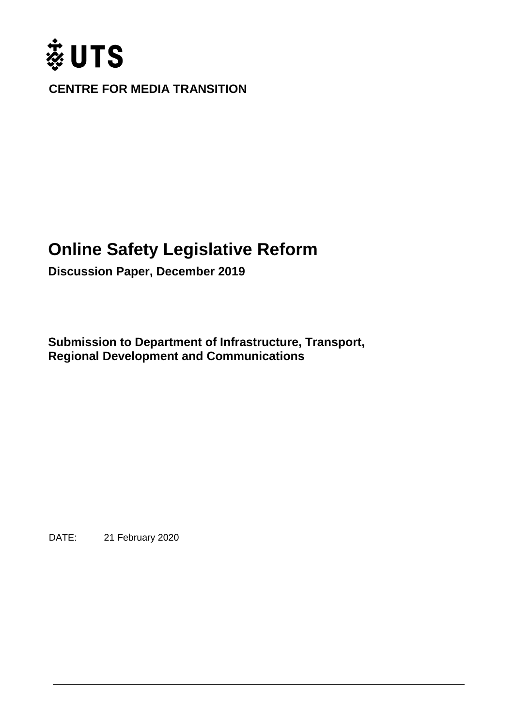

**CENTRE FOR MEDIA TRANSITION**

# **Online Safety Legislative Reform**

**Discussion Paper, December 2019** 

**Submission to Department of Infrastructure, Transport, Regional Development and Communications**

DATE: 21 February 2020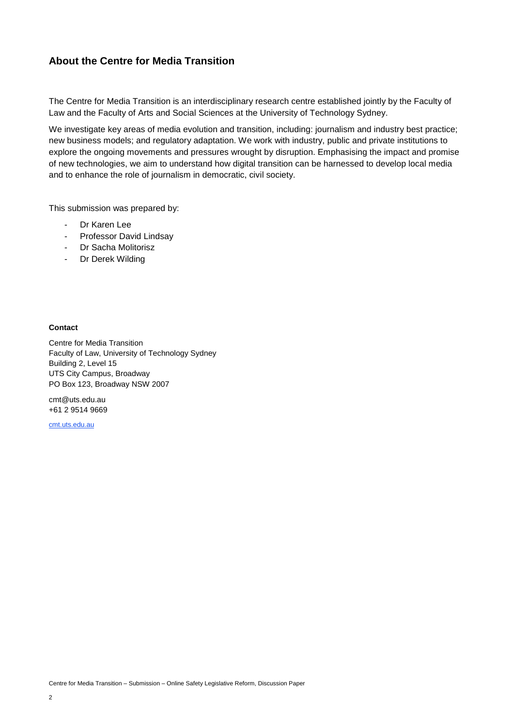#### **About the Centre for Media Transition**

The Centre for Media Transition is an interdisciplinary research centre established jointly by the Faculty of Law and the Faculty of Arts and Social Sciences at the University of Technology Sydney.

We investigate key areas of media evolution and transition, including: journalism and industry best practice; new business models; and regulatory adaptation. We work with industry, public and private institutions to explore the ongoing movements and pressures wrought by disruption. Emphasising the impact and promise of new technologies, we aim to understand how digital transition can be harnessed to develop local media and to enhance the role of journalism in democratic, civil society.

This submission was prepared by:

- Dr Karen Lee
- Professor David Lindsay
- Dr Sacha Molitorisz
- Dr Derek Wilding

#### **Contact**

Centre for Media Transition Faculty of Law, University of Technology Sydney Building 2, Level 15 UTS City Campus, Broadway PO Box 123, Broadway NSW 2007

cmt@uts.edu.au +61 2 9514 9669

[cmt.uts.edu.au](mailto:CMT@uts.edu.au)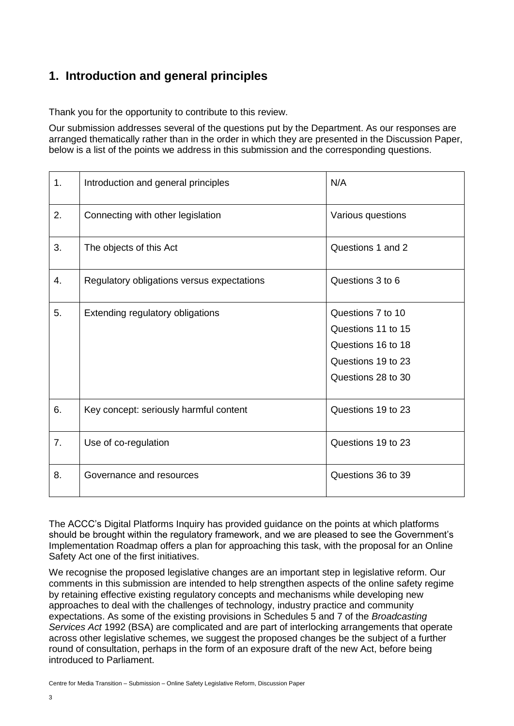### **1. Introduction and general principles**

Thank you for the opportunity to contribute to this review.

Our submission addresses several of the questions put by the Department. As our responses are arranged thematically rather than in the order in which they are presented in the Discussion Paper, below is a list of the points we address in this submission and the corresponding questions.

| 1. | Introduction and general principles        | N/A                                                                                                       |
|----|--------------------------------------------|-----------------------------------------------------------------------------------------------------------|
| 2. | Connecting with other legislation          | Various questions                                                                                         |
| 3. | The objects of this Act                    | Questions 1 and 2                                                                                         |
| 4. | Regulatory obligations versus expectations | Questions 3 to 6                                                                                          |
| 5. | Extending regulatory obligations           | Questions 7 to 10<br>Questions 11 to 15<br>Questions 16 to 18<br>Questions 19 to 23<br>Questions 28 to 30 |
| 6. | Key concept: seriously harmful content     | Questions 19 to 23                                                                                        |
| 7. | Use of co-regulation                       | Questions 19 to 23                                                                                        |
| 8. | Governance and resources                   | Questions 36 to 39                                                                                        |

The ACCC's Digital Platforms Inquiry has provided guidance on the points at which platforms should be brought within the regulatory framework, and we are pleased to see the Government's Implementation Roadmap offers a plan for approaching this task, with the proposal for an Online Safety Act one of the first initiatives.

We recognise the proposed legislative changes are an important step in legislative reform. Our comments in this submission are intended to help strengthen aspects of the online safety regime by retaining effective existing regulatory concepts and mechanisms while developing new approaches to deal with the challenges of technology, industry practice and community expectations. As some of the existing provisions in Schedules 5 and 7 of the *Broadcasting Services Act* 1992 (BSA) are complicated and are part of interlocking arrangements that operate across other legislative schemes, we suggest the proposed changes be the subject of a further round of consultation, perhaps in the form of an exposure draft of the new Act, before being introduced to Parliament.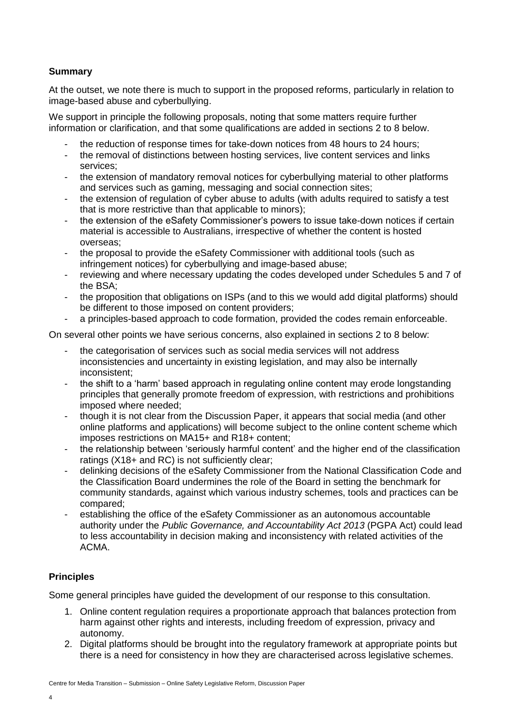#### **Summary**

At the outset, we note there is much to support in the proposed reforms, particularly in relation to image-based abuse and cyberbullying.

We support in principle the following proposals, noting that some matters require further information or clarification, and that some qualifications are added in sections 2 to 8 below.

- the reduction of response times for take-down notices from 48 hours to 24 hours;
- the removal of distinctions between hosting services, live content services and links services;
- the extension of mandatory removal notices for cyberbullying material to other platforms and services such as gaming, messaging and social connection sites;
- the extension of regulation of cyber abuse to adults (with adults required to satisfy a test that is more restrictive than that applicable to minors);
- the extension of the eSafety Commissioner's powers to issue take-down notices if certain material is accessible to Australians, irrespective of whether the content is hosted overseas;
- the proposal to provide the eSafety Commissioner with additional tools (such as infringement notices) for cyberbullying and image-based abuse;
- reviewing and where necessary updating the codes developed under Schedules 5 and 7 of the BSA;
- the proposition that obligations on ISPs (and to this we would add digital platforms) should be different to those imposed on content providers;
- a principles-based approach to code formation, provided the codes remain enforceable.

On several other points we have serious concerns, also explained in sections 2 to 8 below:

- the categorisation of services such as social media services will not address inconsistencies and uncertainty in existing legislation, and may also be internally inconsistent;
- the shift to a 'harm' based approach in regulating online content may erode longstanding principles that generally promote freedom of expression, with restrictions and prohibitions imposed where needed;
- though it is not clear from the Discussion Paper, it appears that social media (and other online platforms and applications) will become subject to the online content scheme which imposes restrictions on MA15+ and R18+ content;
- the relationship between 'seriously harmful content' and the higher end of the classification ratings (X18+ and RC) is not sufficiently clear;
- delinking decisions of the eSafety Commissioner from the National Classification Code and the Classification Board undermines the role of the Board in setting the benchmark for community standards, against which various industry schemes, tools and practices can be compared;
- establishing the office of the eSafety Commissioner as an autonomous accountable authority under the *Public Governance, and Accountability Act 2013* (PGPA Act) could lead to less accountability in decision making and inconsistency with related activities of the ACMA.

#### **Principles**

Some general principles have guided the development of our response to this consultation.

- 1. Online content regulation requires a proportionate approach that balances protection from harm against other rights and interests, including freedom of expression, privacy and autonomy.
- 2. Digital platforms should be brought into the regulatory framework at appropriate points but there is a need for consistency in how they are characterised across legislative schemes.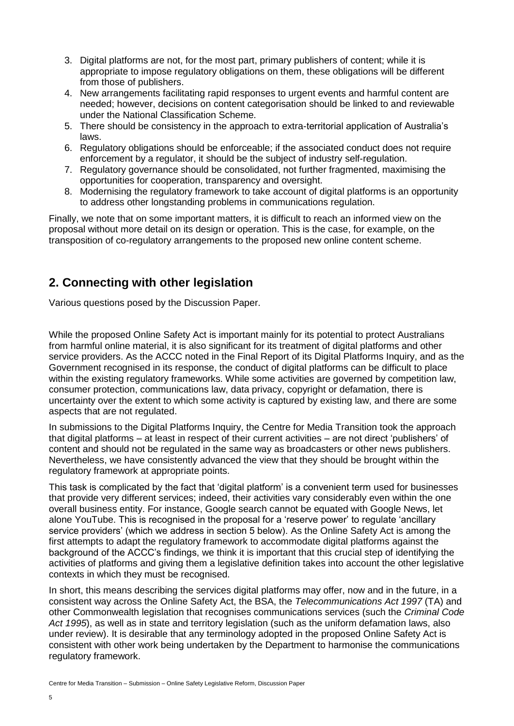- 3. Digital platforms are not, for the most part, primary publishers of content; while it is appropriate to impose regulatory obligations on them, these obligations will be different from those of publishers.
- 4. New arrangements facilitating rapid responses to urgent events and harmful content are needed; however, decisions on content categorisation should be linked to and reviewable under the National Classification Scheme.
- 5. There should be consistency in the approach to extra-territorial application of Australia's laws.
- 6. Regulatory obligations should be enforceable; if the associated conduct does not require enforcement by a regulator, it should be the subject of industry self-regulation.
- 7. Regulatory governance should be consolidated, not further fragmented, maximising the opportunities for cooperation, transparency and oversight.
- 8. Modernising the regulatory framework to take account of digital platforms is an opportunity to address other longstanding problems in communications regulation.

Finally, we note that on some important matters, it is difficult to reach an informed view on the proposal without more detail on its design or operation. This is the case, for example, on the transposition of co-regulatory arrangements to the proposed new online content scheme.

### **2. Connecting with other legislation**

Various questions posed by the Discussion Paper.

While the proposed Online Safety Act is important mainly for its potential to protect Australians from harmful online material, it is also significant for its treatment of digital platforms and other service providers. As the ACCC noted in the Final Report of its Digital Platforms Inquiry, and as the Government recognised in its response, the conduct of digital platforms can be difficult to place within the existing regulatory frameworks. While some activities are governed by competition law, consumer protection, communications law, data privacy, copyright or defamation, there is uncertainty over the extent to which some activity is captured by existing law, and there are some aspects that are not regulated.

In submissions to the Digital Platforms Inquiry, the Centre for Media Transition took the approach that digital platforms – at least in respect of their current activities – are not direct 'publishers' of content and should not be regulated in the same way as broadcasters or other news publishers. Nevertheless, we have consistently advanced the view that they should be brought within the regulatory framework at appropriate points.

This task is complicated by the fact that 'digital platform' is a convenient term used for businesses that provide very different services; indeed, their activities vary considerably even within the one overall business entity. For instance, Google search cannot be equated with Google News, let alone YouTube. This is recognised in the proposal for a 'reserve power' to regulate 'ancillary service providers' (which we address in section 5 below). As the Online Safety Act is among the first attempts to adapt the regulatory framework to accommodate digital platforms against the background of the ACCC's findings, we think it is important that this crucial step of identifying the activities of platforms and giving them a legislative definition takes into account the other legislative contexts in which they must be recognised.

In short, this means describing the services digital platforms may offer, now and in the future, in a consistent way across the Online Safety Act, the BSA, the *Telecommunications Act 1997* (TA) and other Commonwealth legislation that recognises communications services (such the *Criminal Code Act 1995*), as well as in state and territory legislation (such as the uniform defamation laws, also under review). It is desirable that any terminology adopted in the proposed Online Safety Act is consistent with other work being undertaken by the Department to harmonise the communications regulatory framework.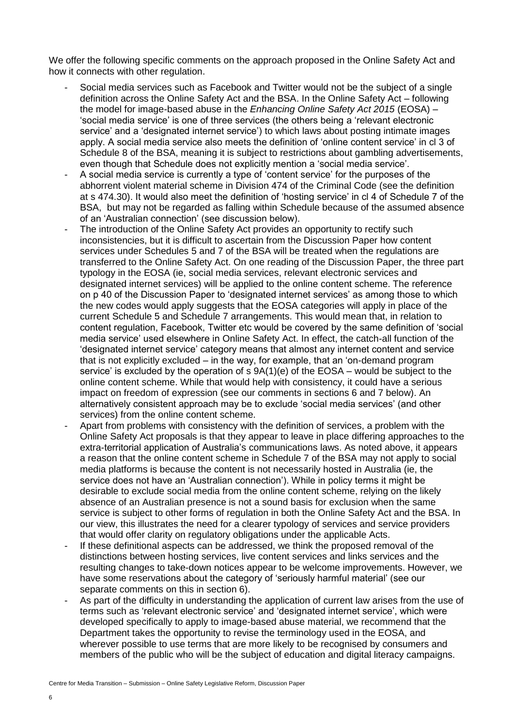We offer the following specific comments on the approach proposed in the Online Safety Act and how it connects with other regulation.

- Social media services such as Facebook and Twitter would not be the subject of a single definition across the Online Safety Act and the BSA. In the Online Safety Act – following the model for image-based abuse in the *Enhancing Online Safety Act 2015* (EOSA) – 'social media service' is one of three services (the others being a 'relevant electronic service' and a 'designated internet service') to which laws about posting intimate images apply. A social media service also meets the definition of 'online content service' in cl 3 of Schedule 8 of the BSA, meaning it is subject to restrictions about gambling advertisements, even though that Schedule does not explicitly mention a 'social media service'.
- A social media service is currently a type of 'content service' for the purposes of the abhorrent violent material scheme in Division 474 of the Criminal Code (see the definition at s 474.30). It would also meet the definition of 'hosting service' in cl 4 of Schedule 7 of the BSA, but may not be regarded as falling within Schedule because of the assumed absence of an 'Australian connection' (see discussion below).
- The introduction of the Online Safety Act provides an opportunity to rectify such inconsistencies, but it is difficult to ascertain from the Discussion Paper how content services under Schedules 5 and 7 of the BSA will be treated when the regulations are transferred to the Online Safety Act. On one reading of the Discussion Paper, the three part typology in the EOSA (ie, social media services, relevant electronic services and designated internet services) will be applied to the online content scheme. The reference on p 40 of the Discussion Paper to 'designated internet services' as among those to which the new codes would apply suggests that the EOSA categories will apply in place of the current Schedule 5 and Schedule 7 arrangements. This would mean that, in relation to content regulation, Facebook, Twitter etc would be covered by the same definition of 'social media service' used elsewhere in Online Safety Act. In effect, the catch-all function of the 'designated internet service' category means that almost any internet content and service that is not explicitly excluded – in the way, for example, that an 'on-demand program service' is excluded by the operation of s 9A(1)(e) of the EOSA – would be subject to the online content scheme. While that would help with consistency, it could have a serious impact on freedom of expression (see our comments in sections 6 and 7 below). An alternatively consistent approach may be to exclude 'social media services' (and other services) from the online content scheme.
- Apart from problems with consistency with the definition of services, a problem with the Online Safety Act proposals is that they appear to leave in place differing approaches to the extra-territorial application of Australia's communications laws. As noted above, it appears a reason that the online content scheme in Schedule 7 of the BSA may not apply to social media platforms is because the content is not necessarily hosted in Australia (ie, the service does not have an 'Australian connection'). While in policy terms it might be desirable to exclude social media from the online content scheme, relying on the likely absence of an Australian presence is not a sound basis for exclusion when the same service is subject to other forms of regulation in both the Online Safety Act and the BSA. In our view, this illustrates the need for a clearer typology of services and service providers that would offer clarity on regulatory obligations under the applicable Acts.
- If these definitional aspects can be addressed, we think the proposed removal of the distinctions between hosting services, live content services and links services and the resulting changes to take-down notices appear to be welcome improvements. However, we have some reservations about the category of 'seriously harmful material' (see our separate comments on this in section 6).
- As part of the difficulty in understanding the application of current law arises from the use of terms such as 'relevant electronic service' and 'designated internet service', which were developed specifically to apply to image-based abuse material, we recommend that the Department takes the opportunity to revise the terminology used in the EOSA, and wherever possible to use terms that are more likely to be recognised by consumers and members of the public who will be the subject of education and digital literacy campaigns.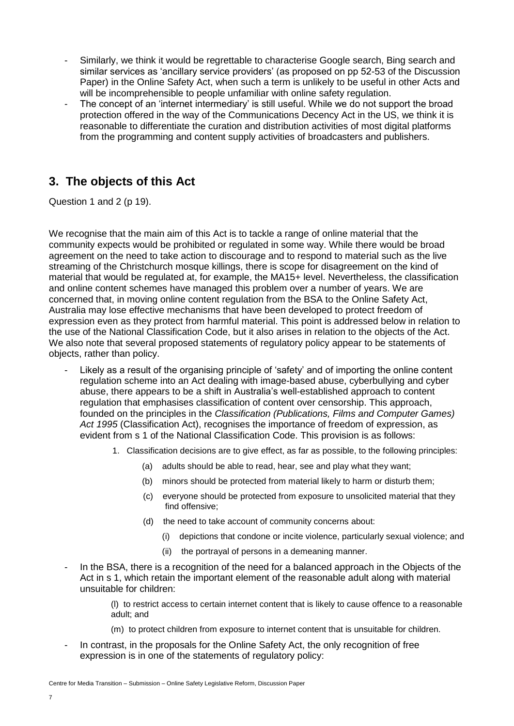- Similarly, we think it would be regrettable to characterise Google search, Bing search and similar services as 'ancillary service providers' (as proposed on pp 52-53 of the Discussion Paper) in the Online Safety Act, when such a term is unlikely to be useful in other Acts and will be incomprehensible to people unfamiliar with online safety regulation.
- The concept of an 'internet intermediary' is still useful. While we do not support the broad protection offered in the way of the Communications Decency Act in the US, we think it is reasonable to differentiate the curation and distribution activities of most digital platforms from the programming and content supply activities of broadcasters and publishers.

#### **3. The objects of this Act**

Question 1 and 2 (p 19).

We recognise that the main aim of this Act is to tackle a range of online material that the community expects would be prohibited or regulated in some way. While there would be broad agreement on the need to take action to discourage and to respond to material such as the live streaming of the Christchurch mosque killings, there is scope for disagreement on the kind of material that would be regulated at, for example, the MA15+ level. Nevertheless, the classification and online content schemes have managed this problem over a number of years. We are concerned that, in moving online content regulation from the BSA to the Online Safety Act, Australia may lose effective mechanisms that have been developed to protect freedom of expression even as they protect from harmful material. This point is addressed below in relation to the use of the National Classification Code, but it also arises in relation to the objects of the Act. We also note that several proposed statements of regulatory policy appear to be statements of objects, rather than policy.

- Likely as a result of the organising principle of 'safety' and of importing the online content regulation scheme into an Act dealing with image-based abuse, cyberbullying and cyber abuse, there appears to be a shift in Australia's well-established approach to content regulation that emphasises classification of content over censorship. This approach, founded on the principles in the *Classification (Publications, Films and Computer Games) Act 1995* (Classification Act), recognises the importance of freedom of expression, as evident from s 1 of the National Classification Code. This provision is as follows:
	- 1. Classification decisions are to give effect, as far as possible, to the following principles:
		- (a) adults should be able to read, hear, see and play what they want;
		- (b) minors should be protected from material likely to harm or disturb them;
		- (c) everyone should be protected from exposure to unsolicited material that they find offensive;
		- (d) the need to take account of community concerns about:
			- (i) depictions that condone or incite violence, particularly sexual violence; and
			- (ii) the portrayal of persons in a demeaning manner.
- In the BSA, there is a recognition of the need for a balanced approach in the Objects of the Act in s 1, which retain the important element of the reasonable adult along with material unsuitable for children:

(l) to restrict access to certain internet content that is likely to cause offence to a reasonable adult; and

- (m) to protect children from exposure to internet content that is unsuitable for children.
- In contrast, in the proposals for the Online Safety Act, the only recognition of free expression is in one of the statements of regulatory policy: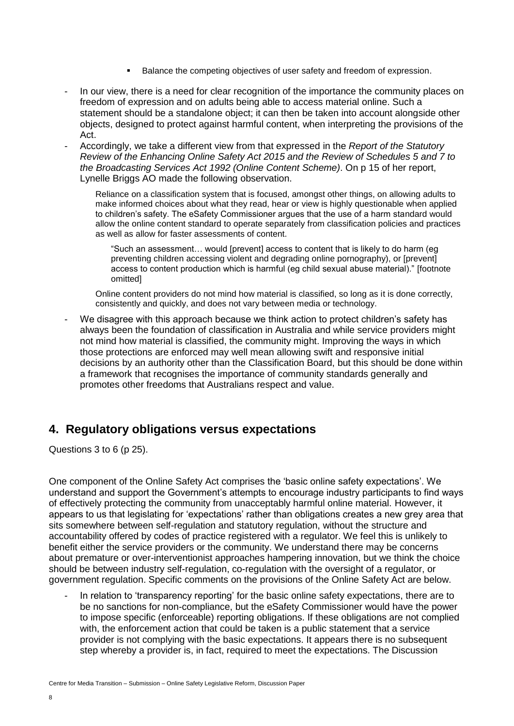- Balance the competing objectives of user safety and freedom of expression.
- In our view, there is a need for clear recognition of the importance the community places on freedom of expression and on adults being able to access material online. Such a statement should be a standalone object; it can then be taken into account alongside other objects, designed to protect against harmful content, when interpreting the provisions of the Act.
- Accordingly, we take a different view from that expressed in the *Report of the Statutory Review of the Enhancing Online Safety Act 2015 and the Review of Schedules 5 and 7 to the Broadcasting Services Act 1992 (Online Content Scheme)*. On p 15 of her report, Lynelle Briggs AO made the following observation.

Reliance on a classification system that is focused, amongst other things, on allowing adults to make informed choices about what they read, hear or view is highly questionable when applied to children's safety. The eSafety Commissioner argues that the use of a harm standard would allow the online content standard to operate separately from classification policies and practices as well as allow for faster assessments of content.

"Such an assessment… would [prevent] access to content that is likely to do harm (eg preventing children accessing violent and degrading online pornography), or [prevent] access to content production which is harmful (eg child sexual abuse material)." [footnote omitted]

Online content providers do not mind how material is classified, so long as it is done correctly, consistently and quickly, and does not vary between media or technology.

We disagree with this approach because we think action to protect children's safety has always been the foundation of classification in Australia and while service providers might not mind how material is classified, the community might. Improving the ways in which those protections are enforced may well mean allowing swift and responsive initial decisions by an authority other than the Classification Board, but this should be done within a framework that recognises the importance of community standards generally and promotes other freedoms that Australians respect and value.

#### **4. Regulatory obligations versus expectations**

Questions 3 to 6 (p 25).

One component of the Online Safety Act comprises the 'basic online safety expectations'. We understand and support the Government's attempts to encourage industry participants to find ways of effectively protecting the community from unacceptably harmful online material. However, it appears to us that legislating for 'expectations' rather than obligations creates a new grey area that sits somewhere between self-regulation and statutory regulation, without the structure and accountability offered by codes of practice registered with a regulator. We feel this is unlikely to benefit either the service providers or the community. We understand there may be concerns about premature or over-interventionist approaches hampering innovation, but we think the choice should be between industry self-regulation, co-regulation with the oversight of a regulator, or government regulation. Specific comments on the provisions of the Online Safety Act are below.

In relation to 'transparency reporting' for the basic online safety expectations, there are to be no sanctions for non-compliance, but the eSafety Commissioner would have the power to impose specific (enforceable) reporting obligations. If these obligations are not complied with, the enforcement action that could be taken is a public statement that a service provider is not complying with the basic expectations. It appears there is no subsequent step whereby a provider is, in fact, required to meet the expectations. The Discussion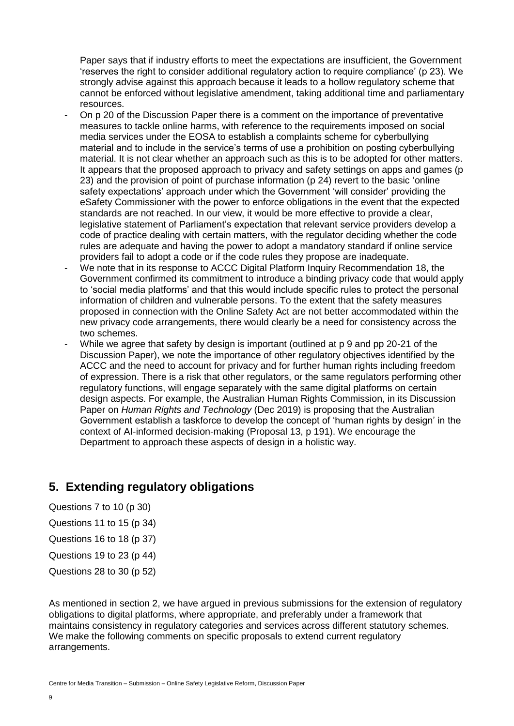Paper says that if industry efforts to meet the expectations are insufficient, the Government 'reserves the right to consider additional regulatory action to require compliance' (p 23). We strongly advise against this approach because it leads to a hollow regulatory scheme that cannot be enforced without legislative amendment, taking additional time and parliamentary resources.

- On p 20 of the Discussion Paper there is a comment on the importance of preventative measures to tackle online harms, with reference to the requirements imposed on social media services under the EOSA to establish a complaints scheme for cyberbullying material and to include in the service's terms of use a prohibition on posting cyberbullying material. It is not clear whether an approach such as this is to be adopted for other matters. It appears that the proposed approach to privacy and safety settings on apps and games (p 23) and the provision of point of purchase information (p 24) revert to the basic 'online safety expectations' approach under which the Government 'will consider' providing the eSafety Commissioner with the power to enforce obligations in the event that the expected standards are not reached. In our view, it would be more effective to provide a clear, legislative statement of Parliament's expectation that relevant service providers develop a code of practice dealing with certain matters, with the regulator deciding whether the code rules are adequate and having the power to adopt a mandatory standard if online service providers fail to adopt a code or if the code rules they propose are inadequate.
- We note that in its response to ACCC Digital Platform Inquiry Recommendation 18, the Government confirmed its commitment to introduce a binding privacy code that would apply to 'social media platforms' and that this would include specific rules to protect the personal information of children and vulnerable persons. To the extent that the safety measures proposed in connection with the Online Safety Act are not better accommodated within the new privacy code arrangements, there would clearly be a need for consistency across the two schemes.
- While we agree that safety by design is important (outlined at p 9 and pp 20-21 of the Discussion Paper), we note the importance of other regulatory objectives identified by the ACCC and the need to account for privacy and for further human rights including freedom of expression. There is a risk that other regulators, or the same regulators performing other regulatory functions, will engage separately with the same digital platforms on certain design aspects. For example, the Australian Human Rights Commission, in its Discussion Paper on *Human Rights and Technology* (Dec 2019) is proposing that the Australian Government establish a taskforce to develop the concept of 'human rights by design' in the context of AI-informed decision-making (Proposal 13, p 191). We encourage the Department to approach these aspects of design in a holistic way.

#### **5. Extending regulatory obligations**

Questions 7 to 10 (p 30)

- Questions 11 to 15 (p 34)
- Questions 16 to 18 (p 37)
- Questions 19 to 23 (p 44)
- Questions 28 to 30 (p 52)

As mentioned in section 2, we have argued in previous submissions for the extension of regulatory obligations to digital platforms, where appropriate, and preferably under a framework that maintains consistency in regulatory categories and services across different statutory schemes. We make the following comments on specific proposals to extend current regulatory arrangements.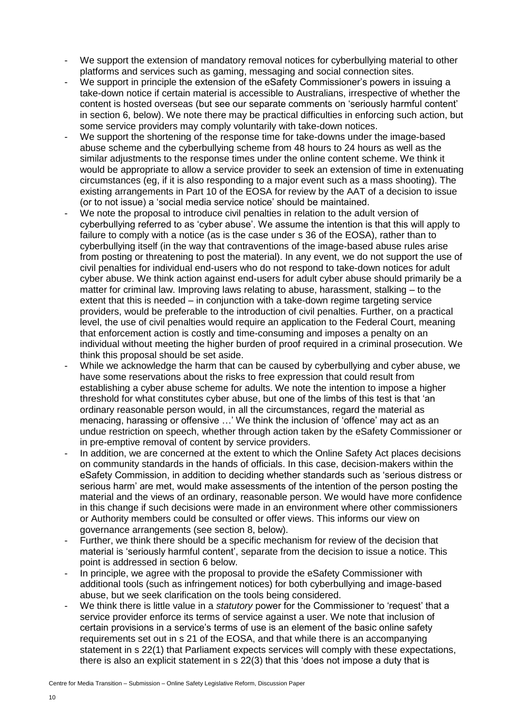- We support the extension of mandatory removal notices for cyberbullying material to other platforms and services such as gaming, messaging and social connection sites.
- We support in principle the extension of the eSafety Commissioner's powers in issuing a take-down notice if certain material is accessible to Australians, irrespective of whether the content is hosted overseas (but see our separate comments on 'seriously harmful content' in section 6, below). We note there may be practical difficulties in enforcing such action, but some service providers may comply voluntarily with take-down notices.
- We support the shortening of the response time for take-downs under the image-based abuse scheme and the cyberbullying scheme from 48 hours to 24 hours as well as the similar adjustments to the response times under the online content scheme. We think it would be appropriate to allow a service provider to seek an extension of time in extenuating circumstances (eg, if it is also responding to a major event such as a mass shooting). The existing arrangements in Part 10 of the EOSA for review by the AAT of a decision to issue (or to not issue) a 'social media service notice' should be maintained.
- We note the proposal to introduce civil penalties in relation to the adult version of cyberbullying referred to as 'cyber abuse'. We assume the intention is that this will apply to failure to comply with a notice (as is the case under s 36 of the EOSA), rather than to cyberbullying itself (in the way that contraventions of the image-based abuse rules arise from posting or threatening to post the material). In any event, we do not support the use of civil penalties for individual end-users who do not respond to take-down notices for adult cyber abuse. We think action against end-users for adult cyber abuse should primarily be a matter for criminal law. Improving laws relating to abuse, harassment, stalking – to the extent that this is needed – in conjunction with a take-down regime targeting service providers, would be preferable to the introduction of civil penalties. Further, on a practical level, the use of civil penalties would require an application to the Federal Court, meaning that enforcement action is costly and time-consuming and imposes a penalty on an individual without meeting the higher burden of proof required in a criminal prosecution. We think this proposal should be set aside.
- While we acknowledge the harm that can be caused by cyberbullying and cyber abuse, we have some reservations about the risks to free expression that could result from establishing a cyber abuse scheme for adults. We note the intention to impose a higher threshold for what constitutes cyber abuse, but one of the limbs of this test is that 'an ordinary reasonable person would, in all the circumstances, regard the material as menacing, harassing or offensive …' We think the inclusion of 'offence' may act as an undue restriction on speech, whether through action taken by the eSafety Commissioner or in pre-emptive removal of content by service providers.
- In addition, we are concerned at the extent to which the Online Safety Act places decisions on community standards in the hands of officials. In this case, decision-makers within the eSafety Commission, in addition to deciding whether standards such as 'serious distress or serious harm' are met, would make assessments of the intention of the person posting the material and the views of an ordinary, reasonable person. We would have more confidence in this change if such decisions were made in an environment where other commissioners or Authority members could be consulted or offer views. This informs our view on governance arrangements (see section 8, below).
- Further, we think there should be a specific mechanism for review of the decision that material is 'seriously harmful content', separate from the decision to issue a notice. This point is addressed in section 6 below.
- In principle, we agree with the proposal to provide the eSafety Commissioner with additional tools (such as infringement notices) for both cyberbullying and image-based abuse, but we seek clarification on the tools being considered.
- We think there is little value in a *statutory* power for the Commissioner to 'request' that a service provider enforce its terms of service against a user. We note that inclusion of certain provisions in a service's terms of use is an element of the basic online safety requirements set out in s 21 of the EOSA, and that while there is an accompanying statement in s 22(1) that Parliament expects services will comply with these expectations, there is also an explicit statement in s 22(3) that this 'does not impose a duty that is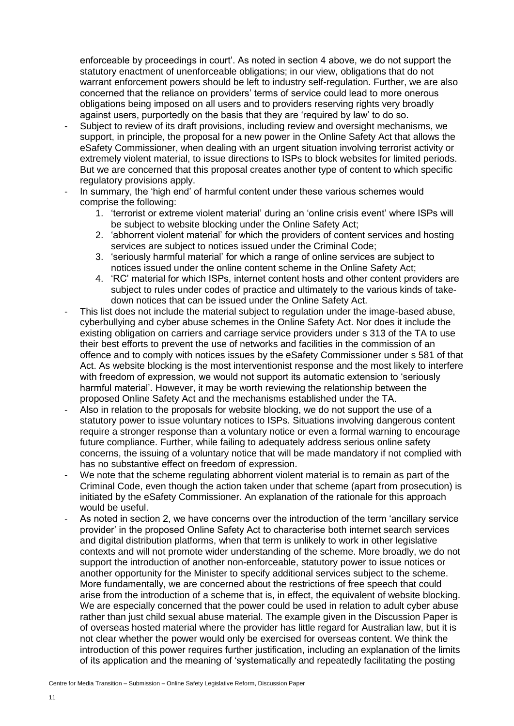enforceable by proceedings in court'. As noted in section 4 above, we do not support the statutory enactment of unenforceable obligations; in our view, obligations that do not warrant enforcement powers should be left to industry self-regulation. Further, we are also concerned that the reliance on providers' terms of service could lead to more onerous obligations being imposed on all users and to providers reserving rights very broadly against users, purportedly on the basis that they are 'required by law' to do so.

- Subject to review of its draft provisions, including review and oversight mechanisms, we support, in principle, the proposal for a new power in the Online Safety Act that allows the eSafety Commissioner, when dealing with an urgent situation involving terrorist activity or extremely violent material, to issue directions to ISPs to block websites for limited periods. But we are concerned that this proposal creates another type of content to which specific regulatory provisions apply.
- In summary, the 'high end' of harmful content under these various schemes would comprise the following:
	- 1. 'terrorist or extreme violent material' during an 'online crisis event' where ISPs will be subject to website blocking under the Online Safety Act;
	- 2. 'abhorrent violent material' for which the providers of content services and hosting services are subject to notices issued under the Criminal Code;
	- 3. 'seriously harmful material' for which a range of online services are subject to notices issued under the online content scheme in the Online Safety Act;
	- 4. 'RC' material for which ISPs, internet content hosts and other content providers are subject to rules under codes of practice and ultimately to the various kinds of takedown notices that can be issued under the Online Safety Act.
- This list does not include the material subject to regulation under the image-based abuse, cyberbullying and cyber abuse schemes in the Online Safety Act. Nor does it include the existing obligation on carriers and carriage service providers under s 313 of the TA to use their best efforts to prevent the use of networks and facilities in the commission of an offence and to comply with notices issues by the eSafety Commissioner under s 581 of that Act. As website blocking is the most interventionist response and the most likely to interfere with freedom of expression, we would not support its automatic extension to 'seriously harmful material'. However, it may be worth reviewing the relationship between the proposed Online Safety Act and the mechanisms established under the TA.
- Also in relation to the proposals for website blocking, we do not support the use of a statutory power to issue voluntary notices to ISPs. Situations involving dangerous content require a stronger response than a voluntary notice or even a formal warning to encourage future compliance. Further, while failing to adequately address serious online safety concerns, the issuing of a voluntary notice that will be made mandatory if not complied with has no substantive effect on freedom of expression.
- We note that the scheme regulating abhorrent violent material is to remain as part of the Criminal Code, even though the action taken under that scheme (apart from prosecution) is initiated by the eSafety Commissioner. An explanation of the rationale for this approach would be useful.
- As noted in section 2, we have concerns over the introduction of the term 'ancillary service provider' in the proposed Online Safety Act to characterise both internet search services and digital distribution platforms, when that term is unlikely to work in other legislative contexts and will not promote wider understanding of the scheme. More broadly, we do not support the introduction of another non-enforceable, statutory power to issue notices or another opportunity for the Minister to specify additional services subject to the scheme. More fundamentally, we are concerned about the restrictions of free speech that could arise from the introduction of a scheme that is, in effect, the equivalent of website blocking. We are especially concerned that the power could be used in relation to adult cyber abuse rather than just child sexual abuse material. The example given in the Discussion Paper is of overseas hosted material where the provider has little regard for Australian law, but it is not clear whether the power would only be exercised for overseas content. We think the introduction of this power requires further justification, including an explanation of the limits of its application and the meaning of 'systematically and repeatedly facilitating the posting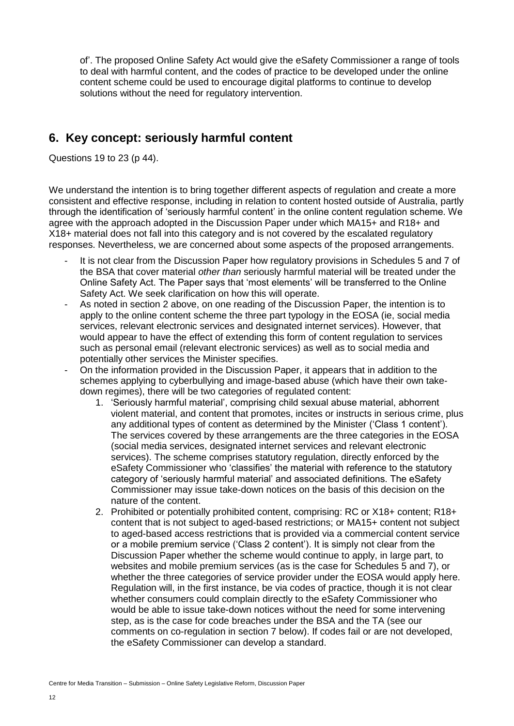of'. The proposed Online Safety Act would give the eSafety Commissioner a range of tools to deal with harmful content, and the codes of practice to be developed under the online content scheme could be used to encourage digital platforms to continue to develop solutions without the need for regulatory intervention.

### **6. Key concept: seriously harmful content**

Questions 19 to 23 (p 44).

We understand the intention is to bring together different aspects of regulation and create a more consistent and effective response, including in relation to content hosted outside of Australia, partly through the identification of 'seriously harmful content' in the online content regulation scheme. We agree with the approach adopted in the Discussion Paper under which MA15+ and R18+ and X18+ material does not fall into this category and is not covered by the escalated regulatory responses. Nevertheless, we are concerned about some aspects of the proposed arrangements.

- It is not clear from the Discussion Paper how regulatory provisions in Schedules 5 and 7 of the BSA that cover material *other than* seriously harmful material will be treated under the Online Safety Act. The Paper says that 'most elements' will be transferred to the Online Safety Act. We seek clarification on how this will operate.
- As noted in section 2 above, on one reading of the Discussion Paper, the intention is to apply to the online content scheme the three part typology in the EOSA (ie, social media services, relevant electronic services and designated internet services). However, that would appear to have the effect of extending this form of content regulation to services such as personal email (relevant electronic services) as well as to social media and potentially other services the Minister specifies.
- On the information provided in the Discussion Paper, it appears that in addition to the schemes applying to cyberbullying and image-based abuse (which have their own takedown regimes), there will be two categories of regulated content:
	- 1. 'Seriously harmful material', comprising child sexual abuse material, abhorrent violent material, and content that promotes, incites or instructs in serious crime, plus any additional types of content as determined by the Minister ('Class 1 content'). The services covered by these arrangements are the three categories in the EOSA (social media services, designated internet services and relevant electronic services). The scheme comprises statutory regulation, directly enforced by the eSafety Commissioner who 'classifies' the material with reference to the statutory category of 'seriously harmful material' and associated definitions. The eSafety Commissioner may issue take-down notices on the basis of this decision on the nature of the content.
	- 2. Prohibited or potentially prohibited content, comprising: RC or X18+ content; R18+ content that is not subject to aged-based restrictions; or MA15+ content not subject to aged-based access restrictions that is provided via a commercial content service or a mobile premium service ('Class 2 content'). It is simply not clear from the Discussion Paper whether the scheme would continue to apply, in large part, to websites and mobile premium services (as is the case for Schedules 5 and 7), or whether the three categories of service provider under the EOSA would apply here. Regulation will, in the first instance, be via codes of practice, though it is not clear whether consumers could complain directly to the eSafety Commissioner who would be able to issue take-down notices without the need for some intervening step, as is the case for code breaches under the BSA and the TA (see our comments on co-regulation in section 7 below). If codes fail or are not developed, the eSafety Commissioner can develop a standard.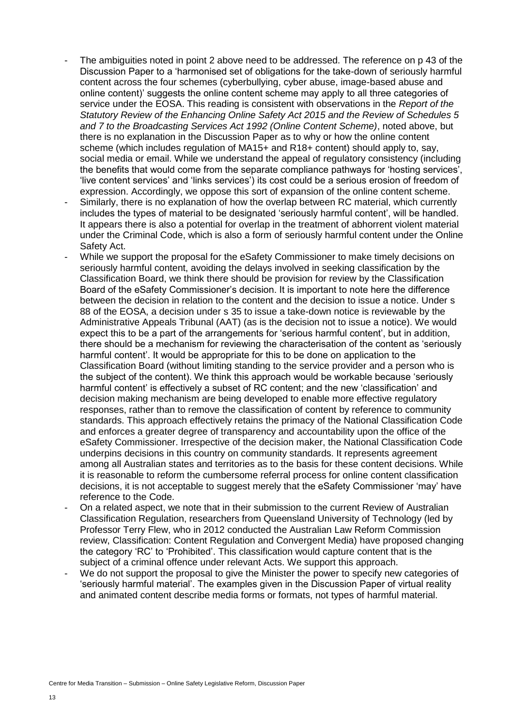- The ambiguities noted in point 2 above need to be addressed. The reference on p 43 of the Discussion Paper to a 'harmonised set of obligations for the take-down of seriously harmful content across the four schemes (cyberbullying, cyber abuse, image-based abuse and online content)' suggests the online content scheme may apply to all three categories of service under the EOSA. This reading is consistent with observations in the *Report of the Statutory Review of the Enhancing Online Safety Act 2015 and the Review of Schedules 5 and 7 to the Broadcasting Services Act 1992 (Online Content Scheme)*, noted above, but there is no explanation in the Discussion Paper as to why or how the online content scheme (which includes regulation of MA15+ and R18+ content) should apply to, say, social media or email. While we understand the appeal of regulatory consistency (including the benefits that would come from the separate compliance pathways for 'hosting services', 'live content services' and 'links services') its cost could be a serious erosion of freedom of expression. Accordingly, we oppose this sort of expansion of the online content scheme.
- Similarly, there is no explanation of how the overlap between RC material, which currently includes the types of material to be designated 'seriously harmful content', will be handled. It appears there is also a potential for overlap in the treatment of abhorrent violent material under the Criminal Code, which is also a form of seriously harmful content under the Online Safety Act.
- While we support the proposal for the eSafety Commissioner to make timely decisions on seriously harmful content, avoiding the delays involved in seeking classification by the Classification Board, we think there should be provision for review by the Classification Board of the eSafety Commissioner's decision. It is important to note here the difference between the decision in relation to the content and the decision to issue a notice. Under s 88 of the EOSA, a decision under s 35 to issue a take-down notice is reviewable by the Administrative Appeals Tribunal (AAT) (as is the decision not to issue a notice). We would expect this to be a part of the arrangements for 'serious harmful content', but in addition, there should be a mechanism for reviewing the characterisation of the content as 'seriously harmful content'. It would be appropriate for this to be done on application to the Classification Board (without limiting standing to the service provider and a person who is the subject of the content). We think this approach would be workable because 'seriously harmful content' is effectively a subset of RC content; and the new 'classification' and decision making mechanism are being developed to enable more effective regulatory responses, rather than to remove the classification of content by reference to community standards. This approach effectively retains the primacy of the National Classification Code and enforces a greater degree of transparency and accountability upon the office of the eSafety Commissioner. Irrespective of the decision maker, the National Classification Code underpins decisions in this country on community standards. It represents agreement among all Australian states and territories as to the basis for these content decisions. While it is reasonable to reform the cumbersome referral process for online content classification decisions, it is not acceptable to suggest merely that the eSafety Commissioner 'may' have reference to the Code.
- On a related aspect, we note that in their submission to the current Review of Australian Classification Regulation, researchers from Queensland University of Technology (led by Professor Terry Flew, who in 2012 conducted the Australian Law Reform Commission review, Classification: Content Regulation and Convergent Media) have proposed changing the category 'RC' to 'Prohibited'. This classification would capture content that is the subject of a criminal offence under relevant Acts. We support this approach.
- We do not support the proposal to give the Minister the power to specify new categories of 'seriously harmful material'. The examples given in the Discussion Paper of virtual reality and animated content describe media forms or formats, not types of harmful material.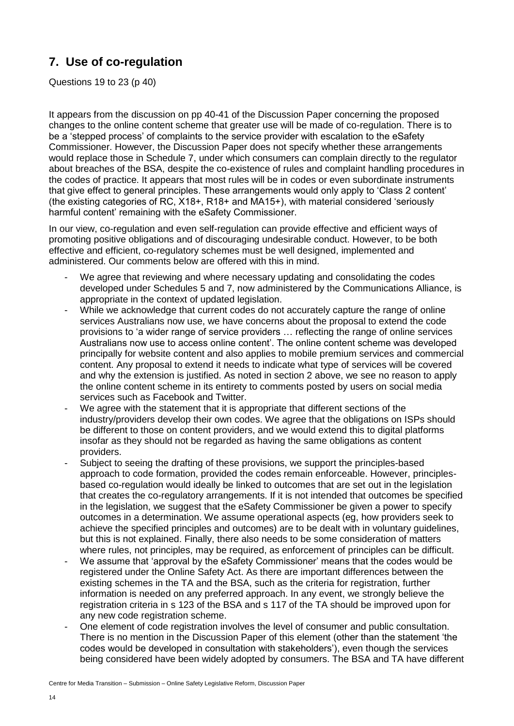## **7. Use of co-regulation**

Questions 19 to 23 (p 40)

It appears from the discussion on pp 40-41 of the Discussion Paper concerning the proposed changes to the online content scheme that greater use will be made of co-regulation. There is to be a 'stepped process' of complaints to the service provider with escalation to the eSafety Commissioner. However, the Discussion Paper does not specify whether these arrangements would replace those in Schedule 7, under which consumers can complain directly to the regulator about breaches of the BSA, despite the co-existence of rules and complaint handling procedures in the codes of practice. It appears that most rules will be in codes or even subordinate instruments that give effect to general principles. These arrangements would only apply to 'Class 2 content' (the existing categories of RC, X18+, R18+ and MA15+), with material considered 'seriously harmful content' remaining with the eSafety Commissioner.

In our view, co-regulation and even self-regulation can provide effective and efficient ways of promoting positive obligations and of discouraging undesirable conduct. However, to be both effective and efficient, co-regulatory schemes must be well designed, implemented and administered. Our comments below are offered with this in mind.

- We agree that reviewing and where necessary updating and consolidating the codes developed under Schedules 5 and 7, now administered by the Communications Alliance, is appropriate in the context of updated legislation.
- While we acknowledge that current codes do not accurately capture the range of online services Australians now use, we have concerns about the proposal to extend the code provisions to 'a wider range of service providers … reflecting the range of online services Australians now use to access online content'. The online content scheme was developed principally for website content and also applies to mobile premium services and commercial content. Any proposal to extend it needs to indicate what type of services will be covered and why the extension is justified. As noted in section 2 above, we see no reason to apply the online content scheme in its entirety to comments posted by users on social media services such as Facebook and Twitter.
- We agree with the statement that it is appropriate that different sections of the industry/providers develop their own codes. We agree that the obligations on ISPs should be different to those on content providers, and we would extend this to digital platforms insofar as they should not be regarded as having the same obligations as content providers.
- Subject to seeing the drafting of these provisions, we support the principles-based approach to code formation, provided the codes remain enforceable. However, principlesbased co-regulation would ideally be linked to outcomes that are set out in the legislation that creates the co-regulatory arrangements. If it is not intended that outcomes be specified in the legislation, we suggest that the eSafety Commissioner be given a power to specify outcomes in a determination. We assume operational aspects (eg, how providers seek to achieve the specified principles and outcomes) are to be dealt with in voluntary guidelines, but this is not explained. Finally, there also needs to be some consideration of matters where rules, not principles, may be required, as enforcement of principles can be difficult.
- We assume that 'approval by the eSafety Commissioner' means that the codes would be registered under the Online Safety Act. As there are important differences between the existing schemes in the TA and the BSA, such as the criteria for registration, further information is needed on any preferred approach. In any event, we strongly believe the registration criteria in s 123 of the BSA and s 117 of the TA should be improved upon for any new code registration scheme.
- One element of code registration involves the level of consumer and public consultation. There is no mention in the Discussion Paper of this element (other than the statement 'the codes would be developed in consultation with stakeholders'), even though the services being considered have been widely adopted by consumers. The BSA and TA have different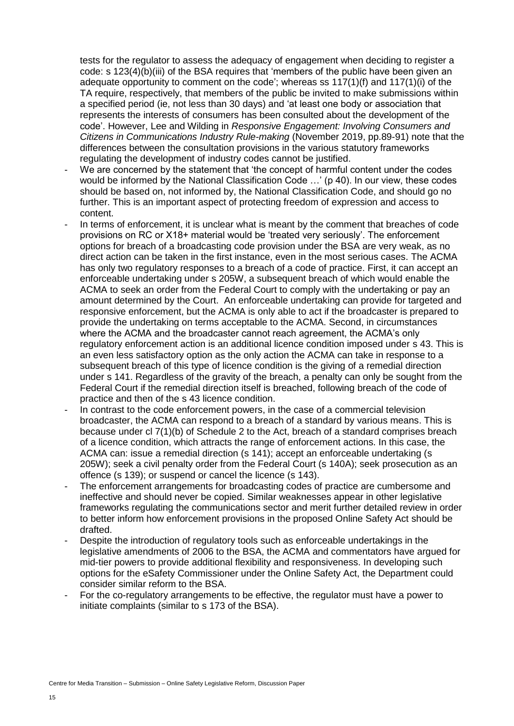tests for the regulator to assess the adequacy of engagement when deciding to register a code: s 123(4)(b)(iii) of the BSA requires that 'members of the public have been given an adequate opportunity to comment on the code'; whereas ss 117(1)(f) and 117(1)(i) of the TA require, respectively, that members of the public be invited to make submissions within a specified period (ie, not less than 30 days) and 'at least one body or association that represents the interests of consumers has been consulted about the development of the code'. However, Lee and Wilding in *Responsive Engagement: Involving Consumers and Citizens in Communications Industry Rule-making* (November 2019, pp.89-91) note that the differences between the consultation provisions in the various statutory frameworks regulating the development of industry codes cannot be justified.

- We are concerned by the statement that 'the concept of harmful content under the codes would be informed by the National Classification Code …' (p 40). In our view, these codes should be based on, not informed by, the National Classification Code, and should go no further. This is an important aspect of protecting freedom of expression and access to content.
- In terms of enforcement, it is unclear what is meant by the comment that breaches of code provisions on RC or X18+ material would be 'treated very seriously'. The enforcement options for breach of a broadcasting code provision under the BSA are very weak, as no direct action can be taken in the first instance, even in the most serious cases. The ACMA has only two regulatory responses to a breach of a code of practice. First, it can accept an enforceable undertaking under s 205W, a subsequent breach of which would enable the ACMA to seek an order from the Federal Court to comply with the undertaking or pay an amount determined by the Court. An enforceable undertaking can provide for targeted and responsive enforcement, but the ACMA is only able to act if the broadcaster is prepared to provide the undertaking on terms acceptable to the ACMA. Second, in circumstances where the ACMA and the broadcaster cannot reach agreement, the ACMA's only regulatory enforcement action is an additional licence condition imposed under s 43. This is an even less satisfactory option as the only action the ACMA can take in response to a subsequent breach of this type of licence condition is the giving of a remedial direction under s 141. Regardless of the gravity of the breach, a penalty can only be sought from the Federal Court if the remedial direction itself is breached, following breach of the code of practice and then of the s 43 licence condition.
- In contrast to the code enforcement powers, in the case of a commercial television broadcaster, the ACMA can respond to a breach of a standard by various means. This is because under cl 7(1)(b) of Schedule 2 to the Act, breach of a standard comprises breach of a licence condition, which attracts the range of enforcement actions. In this case, the ACMA can: issue a remedial direction (s 141); accept an enforceable undertaking (s 205W); seek a civil penalty order from the Federal Court (s 140A); seek prosecution as an offence (s 139); or suspend or cancel the licence (s 143).
- The enforcement arrangements for broadcasting codes of practice are cumbersome and ineffective and should never be copied. Similar weaknesses appear in other legislative frameworks regulating the communications sector and merit further detailed review in order to better inform how enforcement provisions in the proposed Online Safety Act should be drafted.
- Despite the introduction of regulatory tools such as enforceable undertakings in the legislative amendments of 2006 to the BSA, the ACMA and commentators have argued for mid-tier powers to provide additional flexibility and responsiveness. In developing such options for the eSafety Commissioner under the Online Safety Act, the Department could consider similar reform to the BSA.
- For the co-regulatory arrangements to be effective, the regulator must have a power to initiate complaints (similar to s 173 of the BSA).